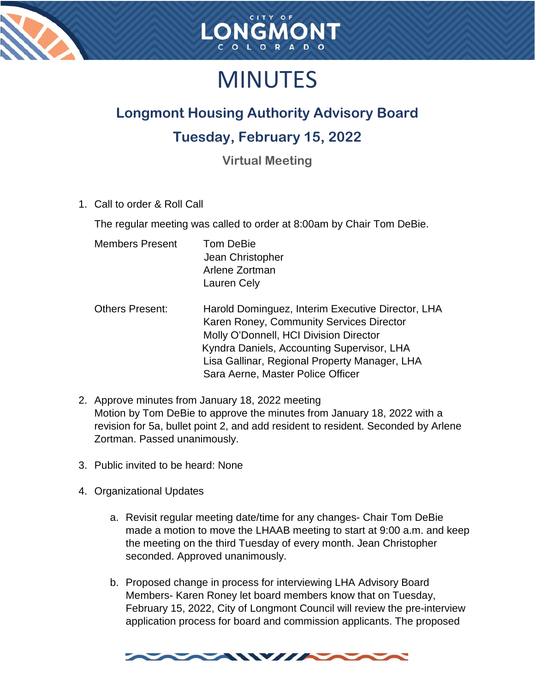



## MINUTES

## **Longmont Housing Authority Advisory Board**

## **Tuesday, February 15, 2022**

**Virtual Meeting**

1. Call to order & Roll Call

The regular meeting was called to order at 8:00am by Chair Tom DeBie.

| <b>Members Present</b> | <b>Tom DeBie</b> |
|------------------------|------------------|
|                        | Jean Christopher |
|                        | Arlene Zortman   |
|                        | Lauren Cely      |

- Others Present: Harold Dominguez, Interim Executive Director, LHA Karen Roney, Community Services Director Molly O'Donnell, HCI Division Director Kyndra Daniels, Accounting Supervisor, LHA Lisa Gallinar, Regional Property Manager, LHA Sara Aerne, Master Police Officer
- 2. Approve minutes from January 18, 2022 meeting Motion by Tom DeBie to approve the minutes from January 18, 2022 with a revision for 5a, bullet point 2, and add resident to resident. Seconded by Arlene Zortman. Passed unanimously.
- 3. Public invited to be heard: None
- 4. Organizational Updates
	- a. Revisit regular meeting date/time for any changes- Chair Tom DeBie made a motion to move the LHAAB meeting to start at 9:00 a.m. and keep the meeting on the third Tuesday of every month. Jean Christopher seconded. Approved unanimously.
	- b. Proposed change in process for interviewing LHA Advisory Board Members- Karen Roney let board members know that on Tuesday, February 15, 2022, City of Longmont Council will review the pre-interview application process for board and commission applicants. The proposed

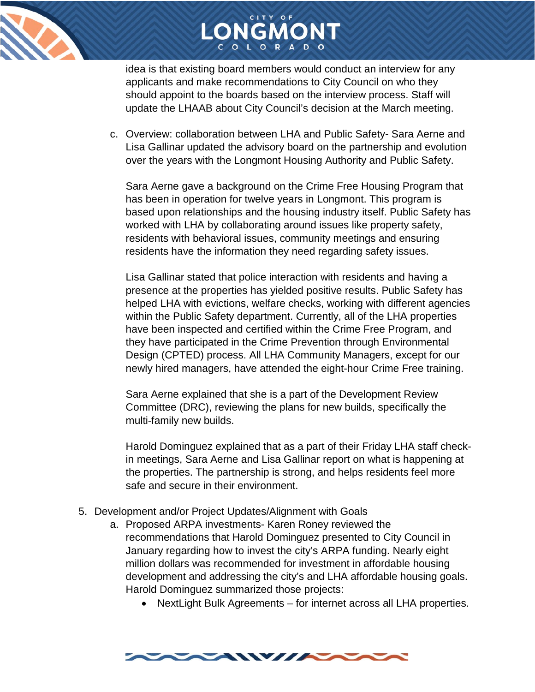

idea is that existing board members would conduct an interview for any applicants and make recommendations to City Council on who they should appoint to the boards based on the interview process. Staff will update the LHAAB about City Council's decision at the March meeting.

LONGMONT

c. Overview: collaboration between LHA and Public Safety- Sara Aerne and Lisa Gallinar updated the advisory board on the partnership and evolution over the years with the Longmont Housing Authority and Public Safety.

Sara Aerne gave a background on the Crime Free Housing Program that has been in operation for twelve years in Longmont. This program is based upon relationships and the housing industry itself. Public Safety has worked with LHA by collaborating around issues like property safety, residents with behavioral issues, community meetings and ensuring residents have the information they need regarding safety issues.

Lisa Gallinar stated that police interaction with residents and having a presence at the properties has yielded positive results. Public Safety has helped LHA with evictions, welfare checks, working with different agencies within the Public Safety department. Currently, all of the LHA properties have been inspected and certified within the Crime Free Program, and they have participated in the Crime Prevention through Environmental Design (CPTED) process. All LHA Community Managers, except for our newly hired managers, have attended the eight-hour Crime Free training.

Sara Aerne explained that she is a part of the Development Review Committee (DRC), reviewing the plans for new builds, specifically the multi-family new builds.

Harold Dominguez explained that as a part of their Friday LHA staff checkin meetings, Sara Aerne and Lisa Gallinar report on what is happening at the properties. The partnership is strong, and helps residents feel more safe and secure in their environment.

- 5. Development and/or Project Updates/Alignment with Goals
	- a. Proposed ARPA investments- Karen Roney reviewed the recommendations that Harold Dominguez presented to City Council in January regarding how to invest the city's ARPA funding. Nearly eight million dollars was recommended for investment in affordable housing development and addressing the city's and LHA affordable housing goals. Harold Dominguez summarized those projects:
		- NextLight Bulk Agreements for internet across all LHA properties.

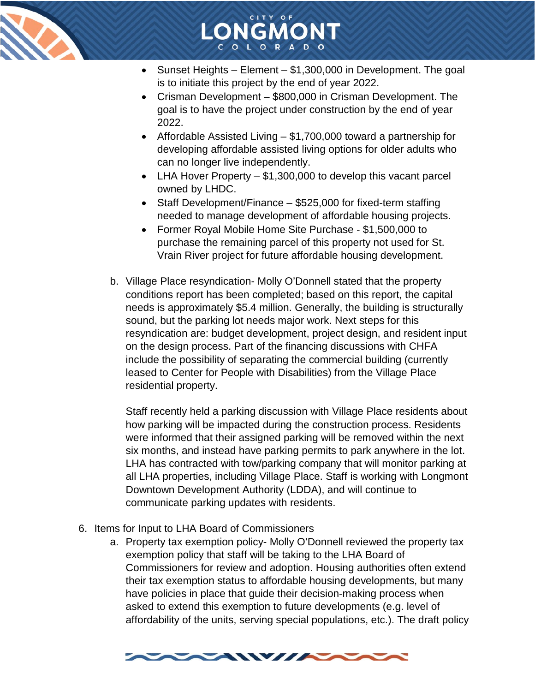



LONGMONT

- Crisman Development \$800,000 in Crisman Development. The goal is to have the project under construction by the end of year 2022.
- Affordable Assisted Living \$1,700,000 toward a partnership for developing affordable assisted living options for older adults who can no longer live independently.
- LHA Hover Property \$1,300,000 to develop this vacant parcel owned by LHDC.
- Staff Development/Finance \$525,000 for fixed-term staffing needed to manage development of affordable housing projects.
- Former Royal Mobile Home Site Purchase \$1,500,000 to purchase the remaining parcel of this property not used for St. Vrain River project for future affordable housing development.
- b. Village Place resyndication- Molly O'Donnell stated that the property conditions report has been completed; based on this report, the capital needs is approximately \$5.4 million. Generally, the building is structurally sound, but the parking lot needs major work. Next steps for this resyndication are: budget development, project design, and resident input on the design process. Part of the financing discussions with CHFA include the possibility of separating the commercial building (currently leased to Center for People with Disabilities) from the Village Place residential property.

Staff recently held a parking discussion with Village Place residents about how parking will be impacted during the construction process. Residents were informed that their assigned parking will be removed within the next six months, and instead have parking permits to park anywhere in the lot. LHA has contracted with tow/parking company that will monitor parking at all LHA properties, including Village Place. Staff is working with Longmont Downtown Development Authority (LDDA), and will continue to communicate parking updates with residents.

- 6. Items for Input to LHA Board of Commissioners
	- a. Property tax exemption policy- Molly O'Donnell reviewed the property tax exemption policy that staff will be taking to the LHA Board of Commissioners for review and adoption. Housing authorities often extend their tax exemption status to affordable housing developments, but many have policies in place that guide their decision-making process when asked to extend this exemption to future developments (e.g. level of affordability of the units, serving special populations, etc.). The draft policy

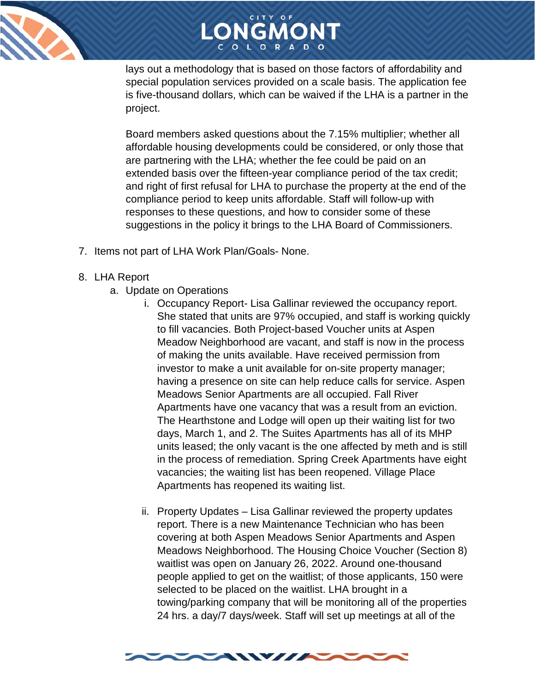

## LONGMONT

lays out a methodology that is based on those factors of affordability and special population services provided on a scale basis. The application fee is five-thousand dollars, which can be waived if the LHA is a partner in the project.

Board members asked questions about the 7.15% multiplier; whether all affordable housing developments could be considered, or only those that are partnering with the LHA; whether the fee could be paid on an extended basis over the fifteen-year compliance period of the tax credit; and right of first refusal for LHA to purchase the property at the end of the compliance period to keep units affordable. Staff will follow-up with responses to these questions, and how to consider some of these suggestions in the policy it brings to the LHA Board of Commissioners.

- 7. Items not part of LHA Work Plan/Goals- None.
- 8. LHA Report
	- a. Update on Operations
		- i. Occupancy Report- Lisa Gallinar reviewed the occupancy report. She stated that units are 97% occupied, and staff is working quickly to fill vacancies. Both Project-based Voucher units at Aspen Meadow Neighborhood are vacant, and staff is now in the process of making the units available. Have received permission from investor to make a unit available for on-site property manager; having a presence on site can help reduce calls for service. Aspen Meadows Senior Apartments are all occupied. Fall River Apartments have one vacancy that was a result from an eviction. The Hearthstone and Lodge will open up their waiting list for two days, March 1, and 2. The Suites Apartments has all of its MHP units leased; the only vacant is the one affected by meth and is still in the process of remediation. Spring Creek Apartments have eight vacancies; the waiting list has been reopened. Village Place Apartments has reopened its waiting list.
		- ii. Property Updates Lisa Gallinar reviewed the property updates report. There is a new Maintenance Technician who has been covering at both Aspen Meadows Senior Apartments and Aspen Meadows Neighborhood. The Housing Choice Voucher (Section 8) waitlist was open on January 26, 2022. Around one-thousand people applied to get on the waitlist; of those applicants, 150 were selected to be placed on the waitlist. LHA brought in a towing/parking company that will be monitoring all of the properties 24 hrs. a day/7 days/week. Staff will set up meetings at all of the